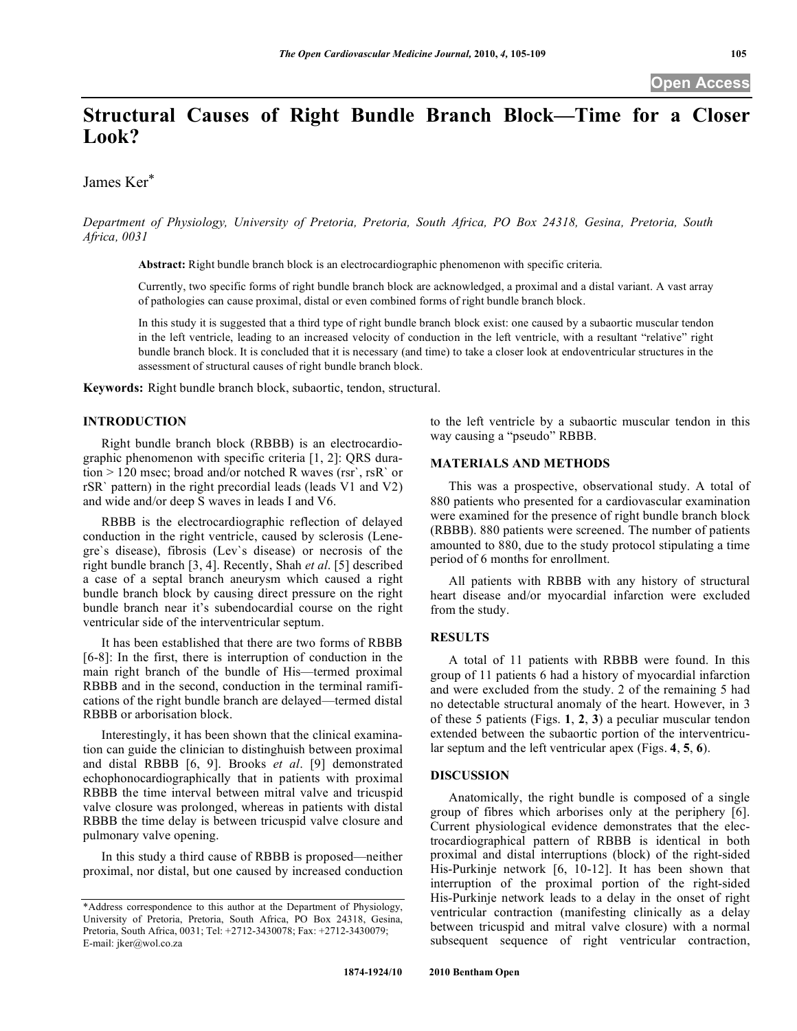# **Structural Causes of Right Bundle Branch Block—Time for a Closer Look?**

James Ker\*

*Department of Physiology, University of Pretoria, Pretoria, South Africa, PO Box 24318, Gesina, Pretoria, South Africa, 0031*

**Abstract:** Right bundle branch block is an electrocardiographic phenomenon with specific criteria.

Currently, two specific forms of right bundle branch block are acknowledged, a proximal and a distal variant. A vast array of pathologies can cause proximal, distal or even combined forms of right bundle branch block.

In this study it is suggested that a third type of right bundle branch block exist: one caused by a subaortic muscular tendon in the left ventricle, leading to an increased velocity of conduction in the left ventricle, with a resultant "relative" right bundle branch block. It is concluded that it is necessary (and time) to take a closer look at endoventricular structures in the assessment of structural causes of right bundle branch block.

**Keywords:** Right bundle branch block, subaortic, tendon, structural.

# **INTRODUCTION**

Right bundle branch block (RBBB) is an electrocardiographic phenomenon with specific criteria [1, 2]: QRS duration > 120 msec; broad and/or notched R waves (rsr`, rsR` or rSR` pattern) in the right precordial leads (leads V1 and V2) and wide and/or deep S waves in leads I and V6.

RBBB is the electrocardiographic reflection of delayed conduction in the right ventricle, caused by sclerosis (Lenegre`s disease), fibrosis (Lev`s disease) or necrosis of the right bundle branch [3, 4]. Recently, Shah *et al*. [5] described a case of a septal branch aneurysm which caused a right bundle branch block by causing direct pressure on the right bundle branch near it's subendocardial course on the right ventricular side of the interventricular septum.

It has been established that there are two forms of RBBB [6-8]: In the first, there is interruption of conduction in the main right branch of the bundle of His—termed proximal RBBB and in the second, conduction in the terminal ramifications of the right bundle branch are delayed—termed distal RBBB or arborisation block.

Interestingly, it has been shown that the clinical examination can guide the clinician to distinghuish between proximal and distal RBBB [6, 9]. Brooks *et al*. [9] demonstrated echophonocardiographically that in patients with proximal RBBB the time interval between mitral valve and tricuspid valve closure was prolonged, whereas in patients with distal RBBB the time delay is between tricuspid valve closure and pulmonary valve opening.

In this study a third cause of RBBB is proposed—neither proximal, nor distal, but one caused by increased conduction to the left ventricle by a subaortic muscular tendon in this way causing a "pseudo" RBBB.

## **MATERIALS AND METHODS**

This was a prospective, observational study. A total of 880 patients who presented for a cardiovascular examination were examined for the presence of right bundle branch block (RBBB). 880 patients were screened. The number of patients amounted to 880, due to the study protocol stipulating a time period of 6 months for enrollment.

All patients with RBBB with any history of structural heart disease and/or myocardial infarction were excluded from the study.

# **RESULTS**

A total of 11 patients with RBBB were found. In this group of 11 patients 6 had a history of myocardial infarction and were excluded from the study. 2 of the remaining 5 had no detectable structural anomaly of the heart. However, in 3 of these 5 patients (Figs. **1**, **2**, **3**) a peculiar muscular tendon extended between the subaortic portion of the interventricular septum and the left ventricular apex (Figs. **4**, **5**, **6**).

### **DISCUSSION**

Anatomically, the right bundle is composed of a single group of fibres which arborises only at the periphery [6]. Current physiological evidence demonstrates that the electrocardiographical pattern of RBBB is identical in both proximal and distal interruptions (block) of the right-sided His-Purkinje network [6, 10-12]. It has been shown that interruption of the proximal portion of the right-sided His-Purkinje network leads to a delay in the onset of right ventricular contraction (manifesting clinically as a delay between tricuspid and mitral valve closure) with a normal subsequent sequence of right ventricular contraction,

<sup>\*</sup>Address correspondence to this author at the Department of Physiology, University of Pretoria, Pretoria, South Africa, PO Box 24318, Gesina, Pretoria, South Africa, 0031; Tel: +2712-3430078; Fax: +2712-3430079; E-mail: jker@wol.co.za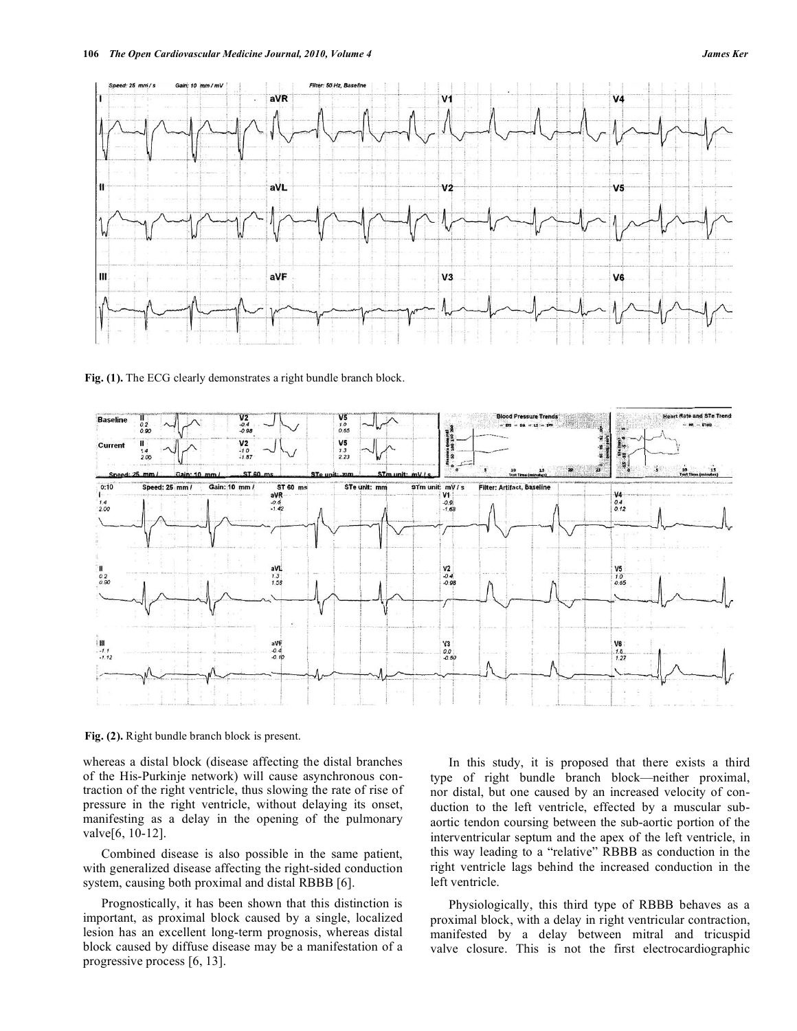

Fig. (1). The ECG clearly demonstrates a right bundle branch block.



**Fig. (2).** Right bundle branch block is present.

whereas a distal block (disease affecting the distal branches of the His-Purkinje network) will cause asynchronous contraction of the right ventricle, thus slowing the rate of rise of pressure in the right ventricle, without delaying its onset, manifesting as a delay in the opening of the pulmonary valve[6, 10-12].

Combined disease is also possible in the same patient, with generalized disease affecting the right-sided conduction system, causing both proximal and distal RBBB [6].

Prognostically, it has been shown that this distinction is important, as proximal block caused by a single, localized lesion has an excellent long-term prognosis, whereas distal block caused by diffuse disease may be a manifestation of a progressive process [6, 13].

In this study, it is proposed that there exists a third type of right bundle branch block—neither proximal, nor distal, but one caused by an increased velocity of conduction to the left ventricle, effected by a muscular subaortic tendon coursing between the sub-aortic portion of the interventricular septum and the apex of the left ventricle, in this way leading to a "relative" RBBB as conduction in the right ventricle lags behind the increased conduction in the left ventricle.

Physiologically, this third type of RBBB behaves as a proximal block, with a delay in right ventricular contraction, manifested by a delay between mitral and tricuspid valve closure. This is not the first electrocardiographic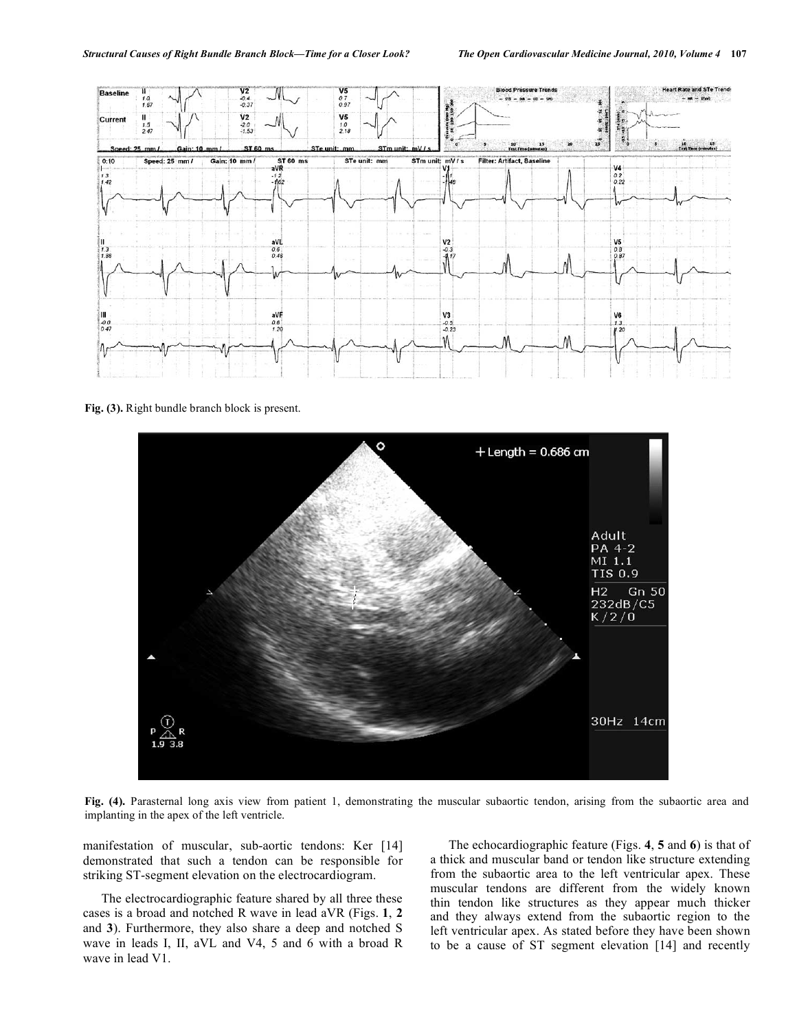

**Fig. (3).** Right bundle branch block is present.



**Fig. (4).** Parasternal long axis view from patient 1, demonstrating the muscular subaortic tendon, arising from the subaortic area and implanting in the apex of the left ventricle.

manifestation of muscular, sub-aortic tendons: Ker [14] demonstrated that such a tendon can be responsible for striking ST-segment elevation on the electrocardiogram.

The electrocardiographic feature shared by all three these cases is a broad and notched R wave in lead aVR (Figs. **1**, **2** and **3**). Furthermore, they also share a deep and notched S wave in leads I, II, aVL and V4, 5 and 6 with a broad R wave in lead V1.

The echocardiographic feature (Figs. **4**, **5** and **6**) is that of a thick and muscular band or tendon like structure extending from the subaortic area to the left ventricular apex. These muscular tendons are different from the widely known thin tendon like structures as they appear much thicker and they always extend from the subaortic region to the left ventricular apex. As stated before they have been shown to be a cause of ST segment elevation [14] and recently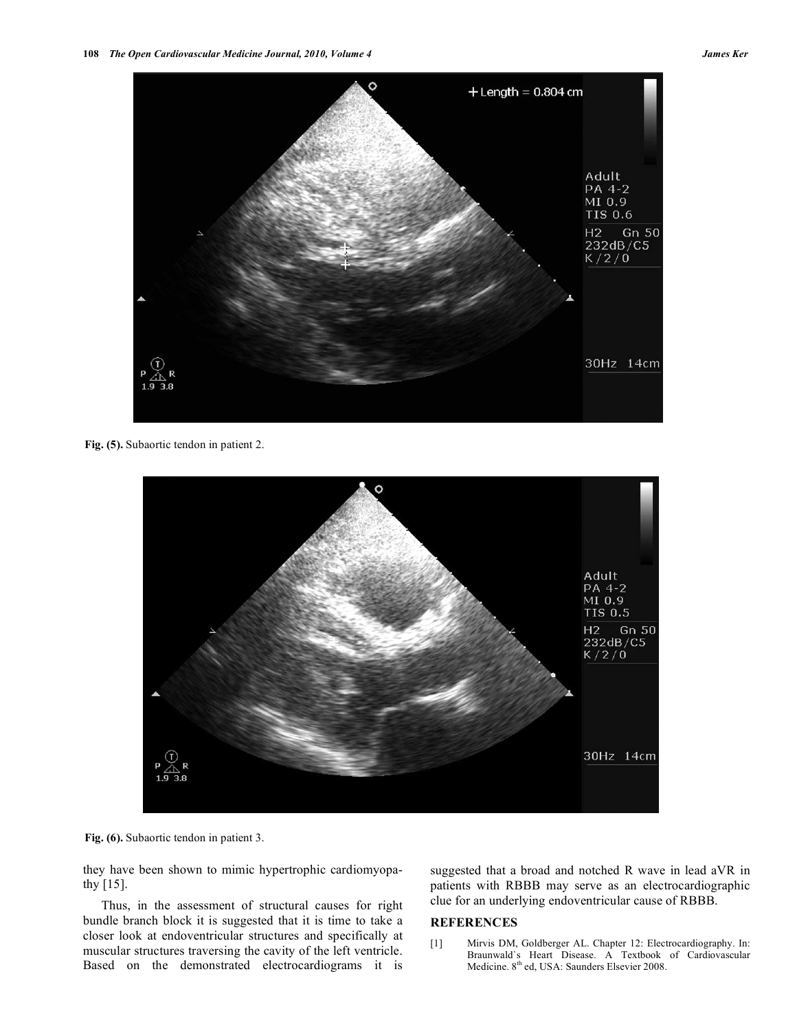

**Fig. (5).** Subaortic tendon in patient 2.



**Fig. (6).** Subaortic tendon in patient 3.

they have been shown to mimic hypertrophic cardiomyopathy [15].

Thus, in the assessment of structural causes for right bundle branch block it is suggested that it is time to take a closer look at endoventricular structures and specifically at muscular structures traversing the cavity of the left ventricle. Based on the demonstrated electrocardiograms it is

suggested that a broad and notched R wave in lead aVR in patients with RBBB may serve as an electrocardiographic clue for an underlying endoventricular cause of RBBB.

# **REFERENCES**

[1] Mirvis DM, Goldberger AL. Chapter 12: Electrocardiography. In: Braunwald`s Heart Disease. A Textbook of Cardiovascular Medicine. 8<sup>th</sup> ed, USA: Saunders Elsevier 2008.